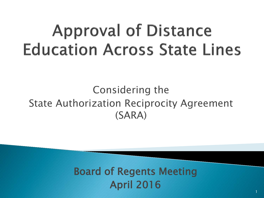# **Approval of Distance Education Across State Lines**

#### Considering the State Authorization Reciprocity Agreement (SARA)

#### Board of Regents Meeting April 2016 1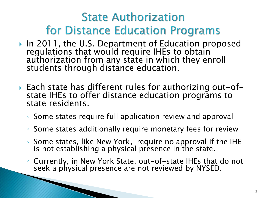## **State Authorization for Distance Education Programs**

- ▶ In 2011, the U.S. Department of Education proposed regulations that would require IHEs to obtain authorization from any state in which they enroll students through distance education.
- Each state has different rules for authorizing out-of- state IHEs to offer distance education programs to state residents.
	- Some states require full application review and approval
	- Some states additionally require monetary fees for review
	- Some states, like New York, require no approval if the IHE is not establishing a physical presence in the state.
	- Currently, in New York State, out-of-state IHEs that do not seek a physical presence are not reviewed by NYSED.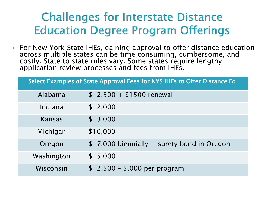#### **Challenges for Interstate Distance Education Degree Program Offerings**

▶ For New York State IHEs, gaining approval to offer distance education across multiple states can be time consuming, cumbersome, and costly. State to state rules vary. Some states require lengthy application review processes and fees from IHEs.

Select Examples of State Approval Fees for NYS IHEs to Offer Distance Ed.

| Alabama    | $$2,500 + $1500$ renewal                    |
|------------|---------------------------------------------|
| Indiana    | \$2,000                                     |
| Kansas     | \$3,000                                     |
| Michigan   | \$10,000                                    |
| Oregon     | $$7,000$ biennially + surety bond in Oregon |
| Washington | \$5,000                                     |
| Wisconsin  | $$2,500 - 5,000$ per program                |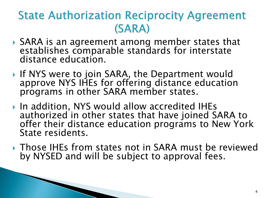### **State Authorization Reciprocity Agreement** (SARA)

- ▶ SARA is an agreement among member states that establishes comparable standards for interstate distance education.
- If NYS were to join SARA, the Department would approve NYS IHEs for offering distance education programs in other SARA member states.
- ▶ In addition, NYS would allow accredited IHEs authorized in other states that have joined SARA to offer their distance education programs to New York State residents.
- ▶ Those IHEs from states not in SARA must be reviewed by NYSED and will be subject to approval fees.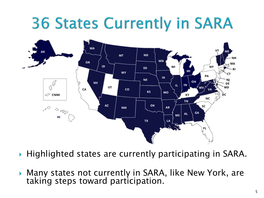## **36 States Currently in SARA**



- ▶ Highlighted states are currently participating in SARA.
- Many states not currently in SARA, like New York, are taking steps toward participation.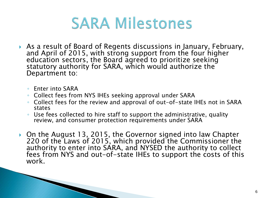

- As a result of Board of Regents discussions in January, February, and April of 2015, with strong support from the four higher education sectors, the Board agreed to prioritize seeking statutory authority for SARA, which would authorize the Department to:
	- Enter into SARA
	- Collect fees from NYS IHEs seeking approval under SARA
	- Collect fees for the review and approval of out-of-state IHEs not in SARA states
	- Use fees collected to hire staff to support the administrative, quality review, and consumer protection requirements under SARA
- ▶ On the August 13, 2015, the Governor signed into law Chapter 220 of the Laws of 2015, which provided the Commissioner the authority to enter into SARA, and NYSED the authority to collect fees from NYS and out-of-state IHEs to support the costs of this work.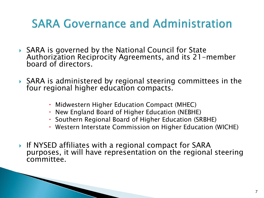#### **SARA Governance and Administration**

- ▶ SARA is governed by the National Council for State Authorization Reciprocity Agreements, and its 21-member board of directors.
- ▶ SARA is administered by regional steering committees in the four regional higher education compacts.
	- Midwestern Higher Education Compact (MHEC)
	- New England Board of Higher Education (NEBHE)
	- Southern Regional Board of Higher Education (SRBHE)
	- Western Interstate Commission on Higher Education (WICHE)
- If NYSED affiliates with a regional compact for SARA purposes, it will have representation on the regional steering committee.